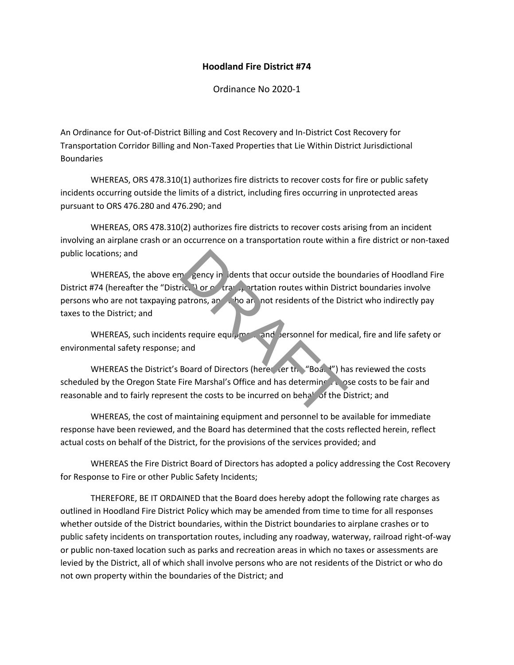## **Hoodland Fire District #74**

Ordinance No 2020-1

An Ordinance for Out-of-District Billing and Cost Recovery and In-District Cost Recovery for Transportation Corridor Billing and Non-Taxed Properties that Lie Within District Jurisdictional Boundaries

WHEREAS, ORS 478.310(1) authorizes fire districts to recover costs for fire or public safety incidents occurring outside the limits of a district, including fires occurring in unprotected areas pursuant to ORS 476.280 and 476.290; and

WHEREAS, ORS 478.310(2) authorizes fire districts to recover costs arising from an incident involving an airplane crash or an occurrence on a transportation route within a fire district or non-taxed public locations; and

WHEREAS, the above emergency in idents that occur outside the boundaries of Hoodland Fire District #74 (hereafter the "District") or  $\circ$  transportation routes within District boundaries involve persons who are not taxpaying patrons, and who are not residents of the District who indirectly pay taxes to the District; and metric." Or order that occur outside the boutic." Or order that occur outses within Distributions, and the and the and the boutine of the Distribution of the Distribution of Directors (here the "Boat") has been the costs t

WHEREAS, such incidents require equipment and personnel for medical, fire and life safety or environmental safety response; and

WHEREAS the District's Board of Directors (hereafter the "Board") has reviewed the costs scheduled by the Oregon State Fire Marshal's Office and has determine the ose costs to be fair and reasonable and to fairly represent the costs to be incurred on behalf of the District; and

WHEREAS, the cost of maintaining equipment and personnel to be available for immediate response have been reviewed, and the Board has determined that the costs reflected herein, reflect actual costs on behalf of the District, for the provisions of the services provided; and

WHEREAS the Fire District Board of Directors has adopted a policy addressing the Cost Recovery for Response to Fire or other Public Safety Incidents;

THEREFORE, BE IT ORDAINED that the Board does hereby adopt the following rate charges as outlined in Hoodland Fire District Policy which may be amended from time to time for all responses whether outside of the District boundaries, within the District boundaries to airplane crashes or to public safety incidents on transportation routes, including any roadway, waterway, railroad right-of-way or public non-taxed location such as parks and recreation areas in which no taxes or assessments are levied by the District, all of which shall involve persons who are not residents of the District or who do not own property within the boundaries of the District; and